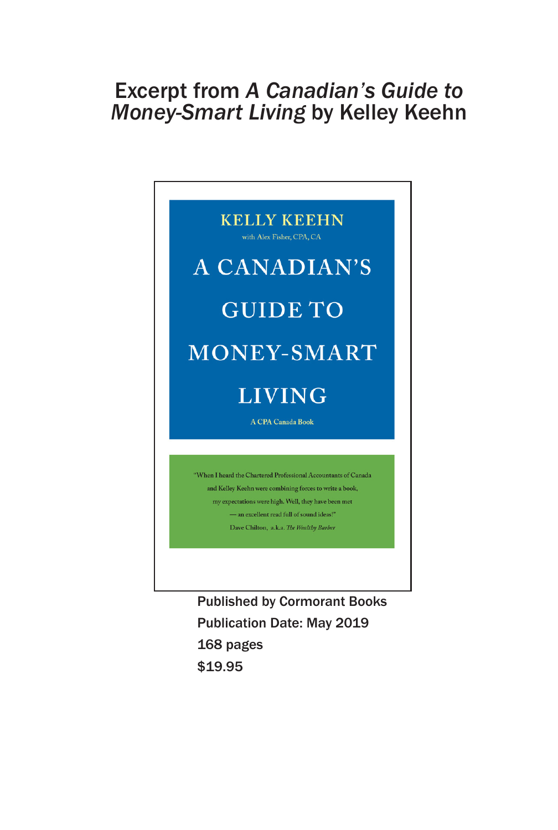## Excerpt from *A Canadian's Guide to Money-Smart Living* by Kelley Keehn



Published by Cormorant Books Publication Date: May 2019 168 pages \$19.95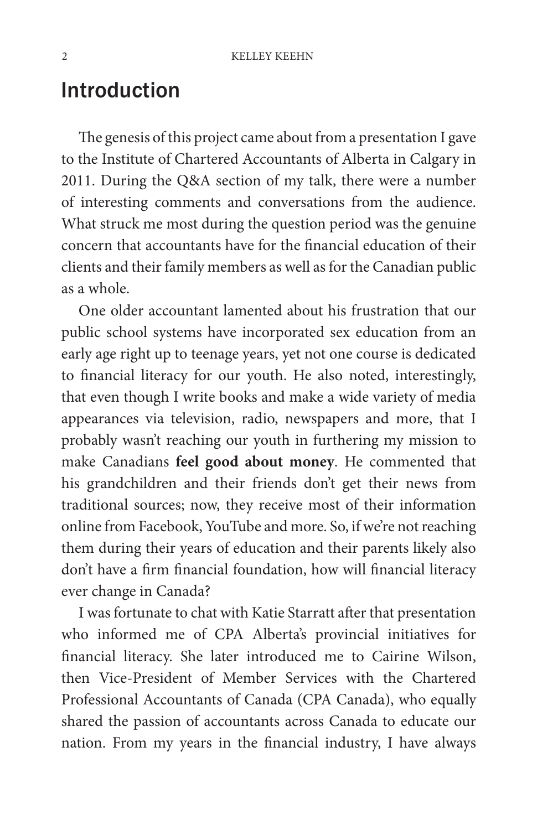## 2 KELLEY KEEHN

## Introduction

The genesis of this project came about from a presentation I gave to the Institute of Chartered Accountants of Alberta in Calgary in 2011. During the Q&A section of my talk, there were a number of interesting comments and conversations from the audience. What struck me most during the question period was the genuine concern that accountants have for the financial education of their clients and their family members as well as for the Canadian public as a whole.

One older accountant lamented about his frustration that our public school systems have incorporated sex education from an early age right up to teenage years, yet not one course is dedicated to financial literacy for our youth. He also noted, interestingly, that even though I write books and make a wide variety of media appearances via television, radio, newspapers and more, that I probably wasn't reaching our youth in furthering my mission to make Canadians **feel good about money**. He commented that his grandchildren and their friends don't get their news from traditional sources; now, they receive most of their information online from Facebook, YouTube and more. So, if we're not reaching them during their years of education and their parents likely also don't have a firm financial foundation, how will financial literacy ever change in Canada?

I was fortunate to chat with Katie Starratt after that presentation who informed me of CPA Alberta's provincial initiatives for financial literacy. She later introduced me to Cairine Wilson, then Vice-President of Member Services with the Chartered Professional Accountants of Canada (CPA Canada), who equally shared the passion of accountants across Canada to educate our nation. From my years in the financial industry, I have always